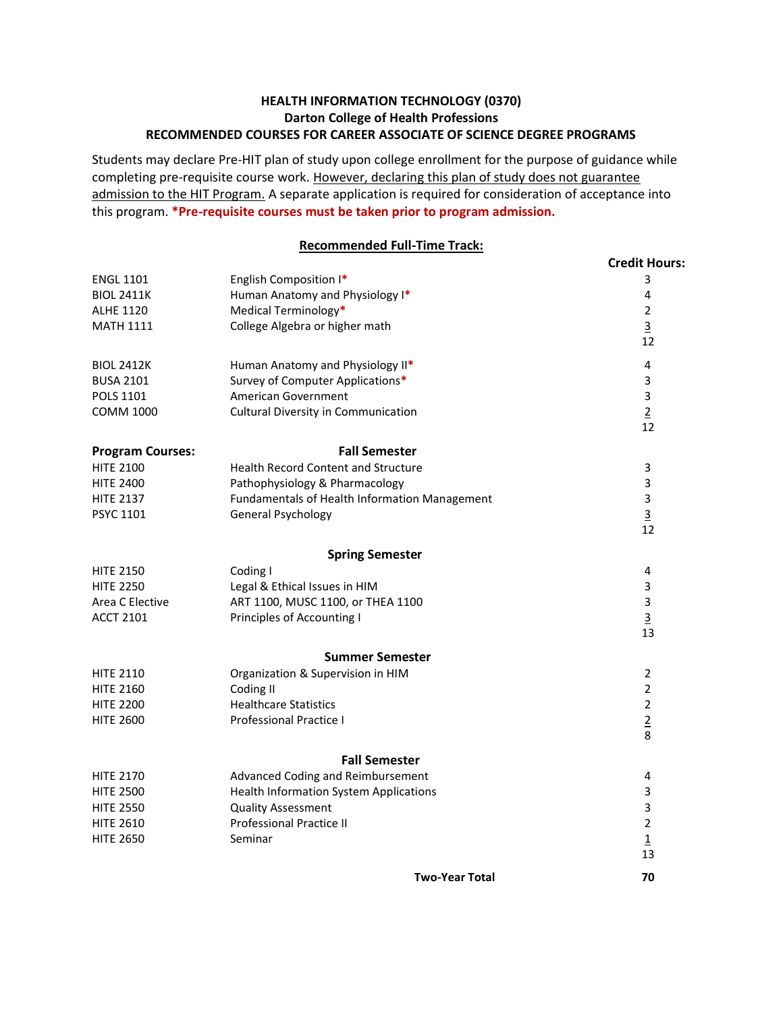## **HEALTH INFORMATION TECHNOLOGY (0370) Darton College of Health Professions RECOMMENDED COURSES FOR CAREER ASSOCIATE OF SCIENCE DEGREE PROGRAMS**

Students may declare Pre-HIT plan of study upon college enrollment for the purpose of guidance while completing pre-requisite course work. However, declaring this plan of study does not guarantee admission to the HIT Program. A separate application is required for consideration of acceptance into this program. **\*Pre-requisite courses must be taken prior to program admission.**

## **Recommended Full-Time Track:**

|                         | <u>MCCOMMICHACA FAIR-THIRE FIGUR.</u>         |                      |
|-------------------------|-----------------------------------------------|----------------------|
|                         |                                               | <b>Credit Hours:</b> |
| <b>ENGL 1101</b>        | English Composition I*                        | 3                    |
| <b>BIOL 2411K</b>       | Human Anatomy and Physiology I*               | 4                    |
| <b>ALHE 1120</b>        | Medical Terminology*                          | $\overline{2}$       |
| <b>MATH 1111</b>        | College Algebra or higher math                | $\overline{3}$       |
|                         |                                               | 12                   |
| <b>BIOL 2412K</b>       | Human Anatomy and Physiology II*              | 4                    |
| <b>BUSA 2101</b>        | Survey of Computer Applications*              | 3                    |
| <b>POLS 1101</b>        | American Government                           | 3                    |
| <b>COMM 1000</b>        | Cultural Diversity in Communication           | $\overline{2}$       |
|                         |                                               | 12                   |
| <b>Program Courses:</b> | <b>Fall Semester</b>                          |                      |
| <b>HITE 2100</b>        | <b>Health Record Content and Structure</b>    | 3                    |
| <b>HITE 2400</b>        | Pathophysiology & Pharmacology                | 3                    |
| <b>HITE 2137</b>        | Fundamentals of Health Information Management | 3                    |
| PSYC 1101               | <b>General Psychology</b>                     | $\overline{3}$       |
|                         |                                               | 12                   |
|                         | <b>Spring Semester</b>                        |                      |
| <b>HITE 2150</b>        | Coding I                                      | 4                    |
| <b>HITE 2250</b>        | Legal & Ethical Issues in HIM                 | 3                    |
| Area C Elective         | ART 1100, MUSC 1100, or THEA 1100             | 3                    |
| <b>ACCT 2101</b>        | Principles of Accounting I                    | $\overline{3}$       |
|                         |                                               | 13                   |
|                         | <b>Summer Semester</b>                        |                      |
| <b>HITE 2110</b>        | Organization & Supervision in HIM             | $\overline{2}$       |
| <b>HITE 2160</b>        | Coding II                                     | $\overline{2}$       |
| <b>HITE 2200</b>        | <b>Healthcare Statistics</b>                  | $\overline{2}$       |
| <b>HITE 2600</b>        | <b>Professional Practice I</b>                | $\overline{2}$       |
|                         |                                               | 8                    |
|                         | <b>Fall Semester</b>                          |                      |
| <b>HITE 2170</b>        | Advanced Coding and Reimbursement             | 4                    |
| <b>HITE 2500</b>        | Health Information System Applications        | 3                    |
| <b>HITE 2550</b>        | <b>Quality Assessment</b>                     | 3                    |
| <b>HITE 2610</b>        | <b>Professional Practice II</b>               | $\overline{2}$       |
| <b>HITE 2650</b>        | Seminar                                       | $\overline{1}$       |
|                         |                                               | 13                   |
|                         | <b>Two-Year Total</b>                         | 70                   |